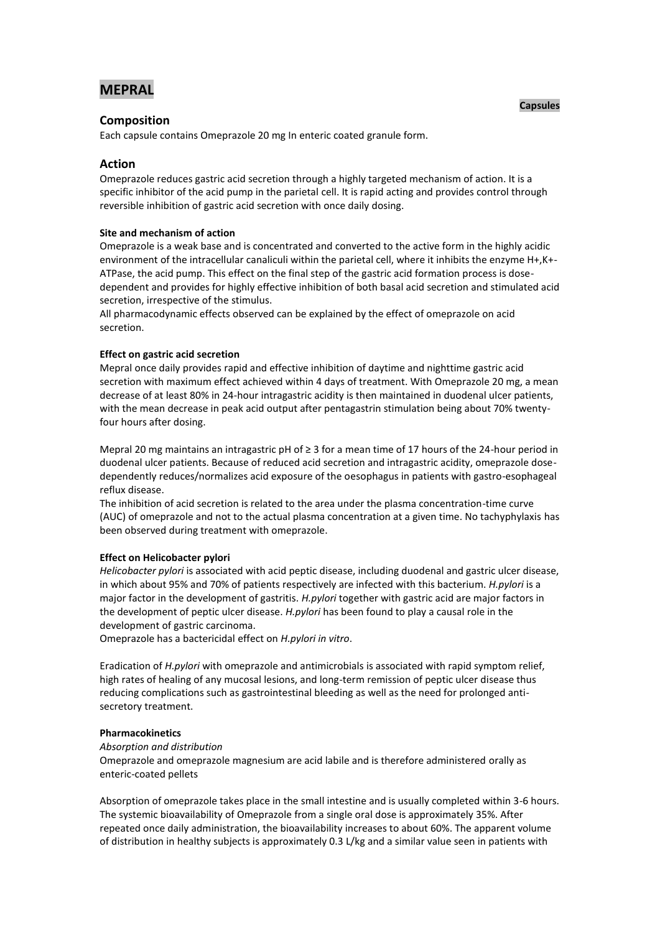# **MEPRAL**

## **Composition**

Each capsule contains Omeprazole 20 mg In enteric coated granule form.

## **Action**

Omeprazole reduces gastric acid secretion through a highly targeted mechanism of action. It is a specific inhibitor of the acid pump in the parietal cell. It is rapid acting and provides control through reversible inhibition of gastric acid secretion with once daily dosing.

### **Site and mechanism of action**

Omeprazole is a weak base and is concentrated and converted to the active form in the highly acidic environment of the intracellular canaliculi within the parietal cell, where it inhibits the enzyme H+,K+- ATPase, the acid pump. This effect on the final step of the gastric acid formation process is dosedependent and provides for highly effective inhibition of both basal acid secretion and stimulated acid secretion, irrespective of the stimulus.

All pharmacodynamic effects observed can be explained by the effect of omeprazole on acid secretion.

### **Effect on gastric acid secretion**

Mepral once daily provides rapid and effective inhibition of daytime and nighttime gastric acid secretion with maximum effect achieved within 4 days of treatment. With Omeprazole 20 mg, a mean decrease of at least 80% in 24-hour intragastric acidity is then maintained in duodenal ulcer patients, with the mean decrease in peak acid output after pentagastrin stimulation being about 70% twentyfour hours after dosing.

Mepral 20 mg maintains an intragastric pH of ≥ 3 for a mean time of 17 hours of the 24-hour period in duodenal ulcer patients. Because of reduced acid secretion and intragastric acidity, omeprazole dosedependently reduces/normalizes acid exposure of the oesophagus in patients with gastro-esophageal reflux disease.

The inhibition of acid secretion is related to the area under the plasma concentration-time curve (AUC) of omeprazole and not to the actual plasma concentration at a given time. No tachyphylaxis has been observed during treatment with omeprazole.

## **Effect on Helicobacter pylori**

*Helicobacter pylori* is associated with acid peptic disease, including duodenal and gastric ulcer disease, in which about 95% and 70% of patients respectively are infected with this bacterium. *H.pylori* is a major factor in the development of gastritis. *H.pylori* together with gastric acid are major factors in the development of peptic ulcer disease. *H.pylori* has been found to play a causal role in the development of gastric carcinoma.

Omeprazole has a bactericidal effect on *H.pylori in vitro*.

Eradication of *H.pylori* with omeprazole and antimicrobials is associated with rapid symptom relief, high rates of healing of any mucosal lesions, and long-term remission of peptic ulcer disease thus reducing complications such as gastrointestinal bleeding as well as the need for prolonged antisecretory treatment.

#### **Pharmacokinetics**

#### *Absorption and distribution*

Omeprazole and omeprazole magnesium are acid labile and is therefore administered orally as enteric-coated pellets

Absorption of omeprazole takes place in the small intestine and is usually completed within 3-6 hours. The systemic bioavailability of Omeprazole from a single oral dose is approximately 35%. After repeated once daily administration, the bioavailability increases to about 60%. The apparent volume of distribution in healthy subjects is approximately 0.3 L/kg and a similar value seen in patients with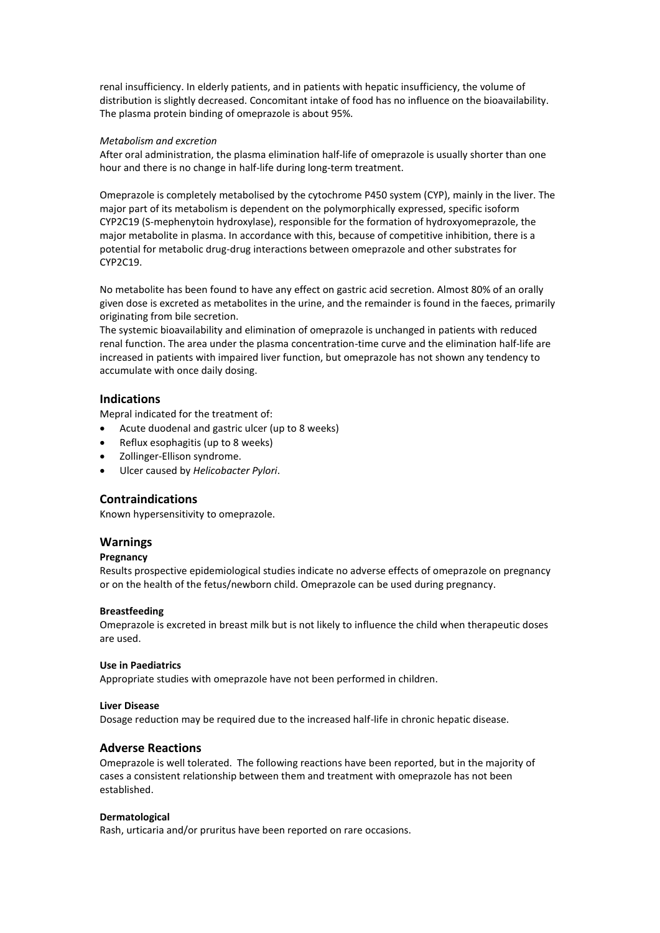renal insufficiency. In elderly patients, and in patients with hepatic insufficiency, the volume of distribution is slightly decreased. Concomitant intake of food has no influence on the bioavailability. The plasma protein binding of omeprazole is about 95%.

### *Metabolism and excretion*

After oral administration, the plasma elimination half-life of omeprazole is usually shorter than one hour and there is no change in half-life during long-term treatment.

Omeprazole is completely metabolised by the cytochrome P450 system (CYP), mainly in the liver. The major part of its metabolism is dependent on the polymorphically expressed, specific isoform CYP2C19 (S-mephenytoin hydroxylase), responsible for the formation of hydroxyomeprazole, the major metabolite in plasma. In accordance with this, because of competitive inhibition, there is a potential for metabolic drug-drug interactions between omeprazole and other substrates for CYP2C19.

No metabolite has been found to have any effect on gastric acid secretion. Almost 80% of an orally given dose is excreted as metabolites in the urine, and the remainder is found in the faeces, primarily originating from bile secretion.

The systemic bioavailability and elimination of omeprazole is unchanged in patients with reduced renal function. The area under the plasma concentration-time curve and the elimination half-life are increased in patients with impaired liver function, but omeprazole has not shown any tendency to accumulate with once daily dosing.

## **Indications**

Mepral indicated for the treatment of:

- Acute duodenal and gastric ulcer (up to 8 weeks)
- Reflux esophagitis (up to 8 weeks)
- Zollinger-Ellison syndrome.
- Ulcer caused by *Helicobacter Pylori*.

## **Contraindications**

Known hypersensitivity to omeprazole.

## **Warnings**

## **Pregnancy**

Results prospective epidemiological studies indicate no adverse effects of omeprazole on pregnancy or on the health of the fetus/newborn child. Omeprazole can be used during pregnancy.

#### **Breastfeeding**

Omeprazole is excreted in breast milk but is not likely to influence the child when therapeutic doses are used.

#### **Use in Paediatrics**

Appropriate studies with omeprazole have not been performed in children.

#### **Liver Disease**

Dosage reduction may be required due to the increased half-life in chronic hepatic disease.

## **Adverse Reactions**

Omeprazole is well tolerated. The following reactions have been reported, but in the majority of cases a consistent relationship between them and treatment with omeprazole has not been established.

#### **Dermatological**

Rash, urticaria and/or pruritus have been reported on rare occasions.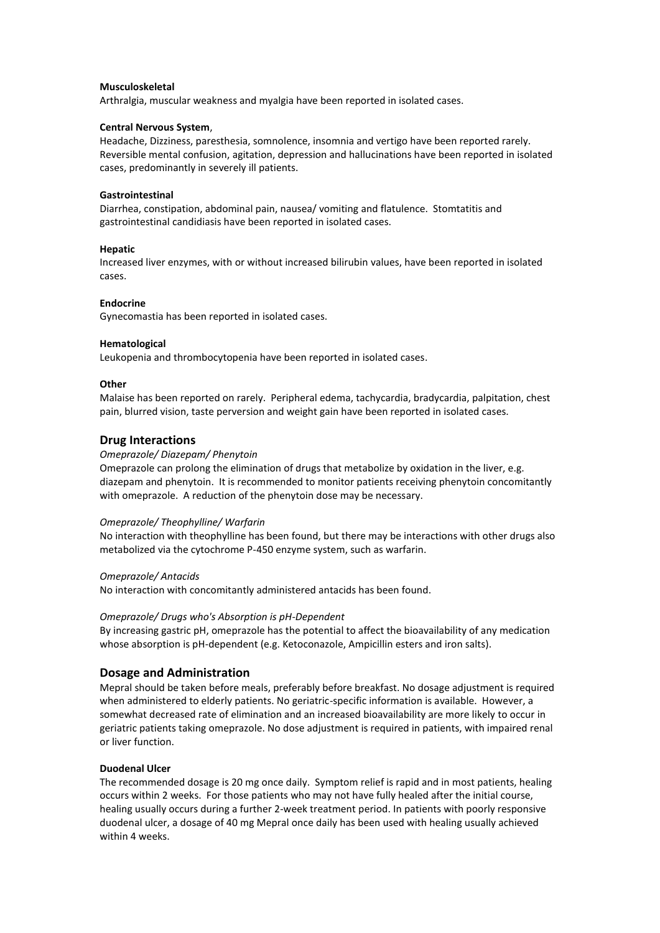#### **Musculoskeletal**

Arthralgia, muscular weakness and myalgia have been reported in isolated cases.

### **Central Nervous System**,

Headache, Dizziness, paresthesia, somnolence, insomnia and vertigo have been reported rarely. Reversible mental confusion, agitation, depression and hallucinations have been reported in isolated cases, predominantly in severely ill patients.

#### **Gastrointestinal**

Diarrhea, constipation, abdominal pain, nausea/ vomiting and flatulence. Stomtatitis and gastrointestinal candidiasis have been reported in isolated cases.

### **Hepatic**

Increased liver enzymes, with or without increased bilirubin values, have been reported in isolated cases.

#### **Endocrine**

Gynecomastia has been reported in isolated cases.

### **Hematological**

Leukopenia and thrombocytopenia have been reported in isolated cases.

## **Other**

Malaise has been reported on rarely. Peripheral edema, tachycardia, bradycardia, palpitation, chest pain, blurred vision, taste perversion and weight gain have been reported in isolated cases.

## **Drug Interactions**

### *Omeprazole/ Diazepam/ Phenytoin*

Omeprazole can prolong the elimination of drugs that metabolize by oxidation in the liver, e.g. diazepam and phenytoin. It is recommended to monitor patients receiving phenytoin concomitantly with omeprazole. A reduction of the phenytoin dose may be necessary.

## *Omeprazole/ Theophylline/ Warfarin*

No interaction with theophylline has been found, but there may be interactions with other drugs also metabolized via the cytochrome P-450 enzyme system, such as warfarin.

#### *Omeprazole/ Antacids*

No interaction with concomitantly administered antacids has been found.

#### *Omeprazole/ Drugs who's Absorption is pH-Dependent*

By increasing gastric pH, omeprazole has the potential to affect the bioavailability of any medication whose absorption is pH-dependent (e.g. Ketoconazole, Ampicillin esters and iron salts).

## **Dosage and Administration**

Mepral should be taken before meals, preferably before breakfast. No dosage adjustment is required when administered to elderly patients. No geriatric-specific information is available. However, a somewhat decreased rate of elimination and an increased bioavailability are more likely to occur in geriatric patients taking omeprazole. No dose adjustment is required in patients, with impaired renal or liver function.

#### **Duodenal Ulcer**

The recommended dosage is 20 mg once daily. Symptom relief is rapid and in most patients, healing occurs within 2 weeks. For those patients who may not have fully healed after the initial course, healing usually occurs during a further 2-week treatment period. In patients with poorly responsive duodenal ulcer, a dosage of 40 mg Mepral once daily has been used with healing usually achieved within 4 weeks.